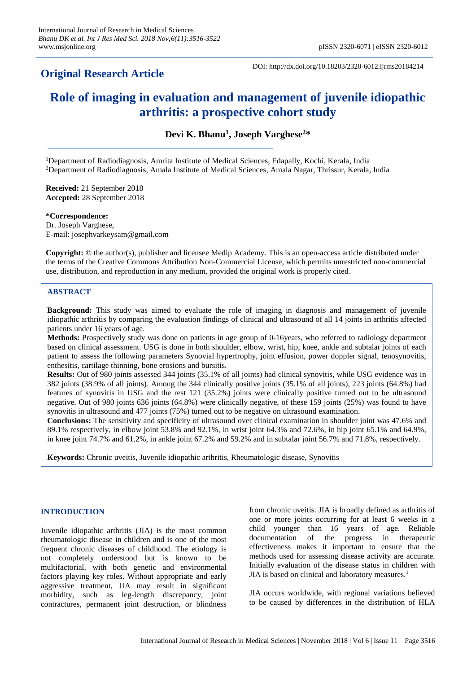# **Original Research Article**

DOI: http://dx.doi.org/10.18203/2320-6012.ijrms20184214

# **Role of imaging in evaluation and management of juvenile idiopathic arthritis: a prospective cohort study**

**Devi K. Bhanu<sup>1</sup> , Joseph Varghese<sup>2</sup>\***

<sup>1</sup>Department of Radiodiagnosis, Amrita Institute of Medical Sciences, Edapally, Kochi, Kerala, India <sup>2</sup>Department of Radiodiagnosis, Amala Institute of Medical Sciences, Amala Nagar, Thrissur, Kerala, India

**Received:** 21 September 2018 **Accepted:** 28 September 2018

**\*Correspondence:** Dr. Joseph Varghese, E-mail: josephvarkeysam@gmail.com

**Copyright:** © the author(s), publisher and licensee Medip Academy. This is an open-access article distributed under the terms of the Creative Commons Attribution Non-Commercial License, which permits unrestricted non-commercial use, distribution, and reproduction in any medium, provided the original work is properly cited.

### **ABSTRACT**

**Background:** This study was aimed to evaluate the role of imaging in diagnosis and management of juvenile idiopathic arthritis by comparing the evaluation findings of clinical and ultrasound of all 14 joints in arthritis affected patients under 16 years of age.

**Methods:** Prospectively study was done on patients in age group of 0-16years, who referred to radiology department based on clinical assessment. USG is done in both shoulder, elbow, wrist, hip, knee, ankle and subtalar joints of each patient to assess the following parameters Synovial hypertrophy, joint effusion, power doppler signal, tenosynovitis, enthesitis, cartilage thinning, bone erosions and bursitis.

**Results:** Out of 980 joints assessed 344 joints (35.1% of all joints) had clinical synovitis, while USG evidence was in 382 joints (38.9% of all joints). Among the 344 clinically positive joints (35.1% of all joints), 223 joints (64.8%) had features of synovitis in USG and the rest 121 (35.2%) joints were clinically positive turned out to be ultrasound negative. Out of 980 joints 636 joints (64.8%) were clinically negative, of these 159 joints (25%) was found to have synovitis in ultrasound and 477 joints (75%) turned out to be negative on ultrasound examination.

**Conclusions:** The sensitivity and specificity of ultrasound over clinical examination in shoulder joint was 47.6% and 89.1% respectively, in elbow joint 53.8% and 92.1%, in wrist joint 64.3% and 72.6%, in hip joint 65.1% and 64.9%, in knee joint 74.7% and 61.2%, in ankle joint 67.2% and 59.2% and in subtalar joint 56.7% and 71.8%, respectively.

**Keywords:** Chronic uveitis, Juvenile idiopathic arthritis, Rheumatologic disease, Synovitis

# **INTRODUCTION**

Juvenile idiopathic arthritis (JIA) is the most common rheumatologic disease in children and is one of the most frequent chronic diseases of childhood. The etiology is not completely understood but is known to be multifactorial, with both genetic and environmental factors playing key roles. Without appropriate and early aggressive treatment, JIA may result in significant morbidity, such as leg-length discrepancy, joint contractures, permanent joint destruction, or blindness from chronic uveitis. JIA is broadly defined as arthritis of one or more joints occurring for at least 6 weeks in a child younger than 16 years of age. Reliable documentation of the progress in therapeutic effectiveness makes it important to ensure that the methods used for assessing disease activity are accurate. Initially evaluation of the disease status in children with JIA is based on clinical and laboratory measures.<sup>1</sup>

JIA occurs worldwide, with regional variations believed to be caused by differences in the distribution of HLA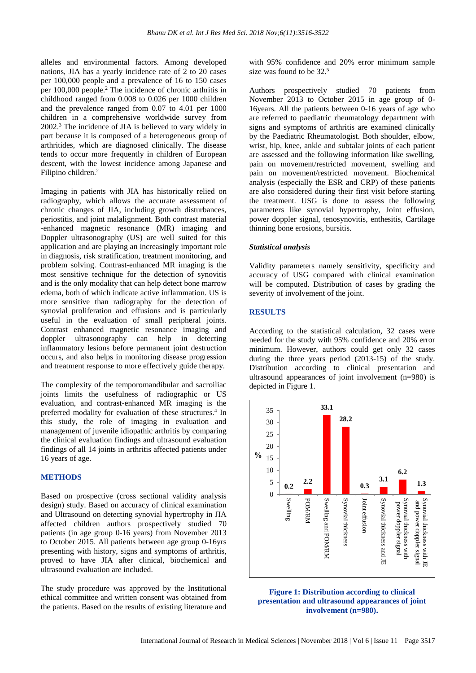alleles and environmental factors. Among developed nations, JIA has a yearly incidence rate of 2 to 20 cases per 100,000 people and a prevalence of 16 to 150 cases per 100,000 people.<sup>2</sup> The incidence of chronic arthritis in childhood ranged from 0.008 to 0.026 per 1000 children and the prevalence ranged from 0.07 to 4.01 per 1000 children in a comprehensive worldwide survey from 2002.<sup>3</sup> The incidence of JIA is believed to vary widely in part because it is composed of a heterogeneous group of arthritides, which are diagnosed clinically. The disease tends to occur more frequently in children of European descent, with the lowest incidence among Japanese and Filipino children.<sup>2</sup>

Imaging in patients with JIA has historically relied on radiography, which allows the accurate assessment of chronic changes of JIA, including growth disturbances, periostitis, and joint malalignment. Both contrast material -enhanced magnetic resonance (MR) imaging and Doppler ultrasonography (US) are well suited for this application and are playing an increasingly important role in diagnosis, risk stratification, treatment monitoring, and problem solving. Contrast-enhanced MR imaging is the most sensitive technique for the detection of synovitis and is the only modality that can help detect bone marrow edema, both of which indicate active inflammation. US is more sensitive than radiography for the detection of synovial proliferation and effusions and is particularly useful in the evaluation of small peripheral joints. Contrast enhanced magnetic resonance imaging and doppler ultrasonography can help in detecting inflammatory lesions before permanent joint destruction occurs, and also helps in monitoring disease progression and treatment response to more effectively guide therapy.

The complexity of the temporomandibular and sacroiliac joints limits the usefulness of radiographic or US evaluation, and contrast-enhanced MR imaging is the preferred modality for evaluation of these structures.<sup>4</sup> In this study, the role of imaging in evaluation and management of juvenile idiopathic arthritis by comparing the clinical evaluation findings and ultrasound evaluation findings of all 14 joints in arthritis affected patients under 16 years of age.

#### **METHODS**

Based on prospective (cross sectional validity analysis design) study. Based on accuracy of clinical examination and Ultrasound on detecting synovial hypertrophy in JIA affected children authors prospectively studied 70 patients (in age group 0-16 years) from November 2013 to October 2015. All patients between age group 0-16yrs presenting with history, signs and symptoms of arthritis, proved to have JIA after clinical, biochemical and ultrasound evaluation are included.

The study procedure was approved by the Institutional ethical committee and written consent was obtained from the patients. Based on the results of existing literature and with 95% confidence and 20% error minimum sample size was found to be 32.<sup>5</sup>

Authors prospectively studied 70 patients from November 2013 to October 2015 in age group of 0- 16years. All the patients between 0-16 years of age who are referred to paediatric rheumatology department with signs and symptoms of arthritis are examined clinically by the Paediatric Rheumatologist. Both shoulder, elbow, wrist, hip, knee, ankle and subtalar joints of each patient are assessed and the following information like swelling, pain on movement/restricted movement, swelling and pain on movement/restricted movement. Biochemical analysis (especially the ESR and CRP) of these patients are also considered during their first visit before starting the treatment. USG is done to assess the following parameters like synovial hypertrophy, Joint effusion, power doppler signal, tenosynovitis, enthesitis, Cartilage thinning bone erosions, bursitis.

#### *Statistical analysis*

Validity parameters namely sensitivity, specificity and accuracy of USG compared with clinical examination will be computed. Distribution of cases by grading the severity of involvement of the joint.

### **RESULTS**

According to the statistical calculation, 32 cases were needed for the study with 95% confidence and 20% error minimum. However, authors could get only 32 cases during the three years period (2013-15) of the study. Distribution according to clinical presentation and ultrasound appearances of joint involvement (n=980) is depicted in Figure 1.



#### **Figure 1: Distribution according to clinical presentation and ultrasound appearances of joint involvement (n=980).**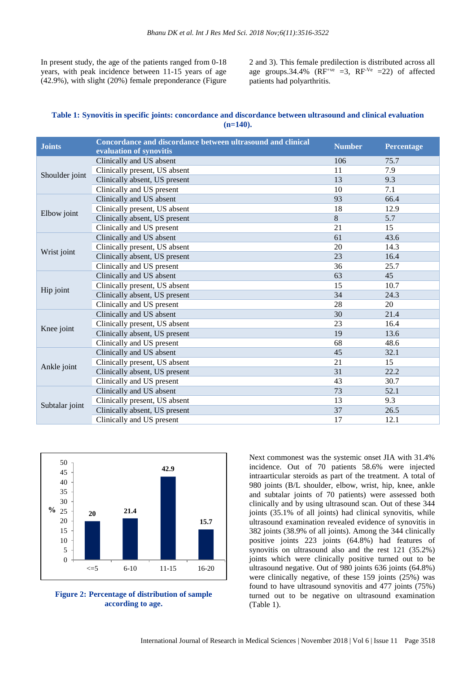In present study, the age of the patients ranged from 0-18 years, with peak incidence between 11-15 years of age (42.9%), with slight (20%) female preponderance (Figure 2 and 3). This female predilection is distributed across all age groups.34.4% ( $RF^{+ve}$  =3,  $RF^{-Ve}$  =22) of affected patients had polyarthritis.

**Table 1: Synovitis in specific joints: concordance and discordance between ultrasound and clinical evaluation (n=140).**

| <b>Joints</b>  | Concordance and discordance between ultrasound and clinical | <b>Number</b> | <b>Percentage</b> |
|----------------|-------------------------------------------------------------|---------------|-------------------|
|                | evaluation of synovitis                                     |               |                   |
| Shoulder joint | Clinically and US absent                                    | 106           | 75.7              |
|                | Clinically present, US absent                               | 11            | 7.9               |
|                | Clinically absent, US present                               | 13            | 9.3               |
|                | Clinically and US present                                   | 10            | 7.1               |
| Elbow joint    | Clinically and US absent                                    | 93            | 66.4              |
|                | Clinically present, US absent                               | 18            | 12.9              |
|                | Clinically absent, US present                               | 8             | 5.7               |
|                | Clinically and US present                                   | 21            | 15                |
| Wrist joint    | Clinically and US absent                                    | 61            | 43.6              |
|                | Clinically present, US absent                               | 20            | 14.3              |
|                | Clinically absent, US present                               | 23            | 16.4              |
|                | Clinically and US present                                   | 36            | 25.7              |
| Hip joint      | Clinically and US absent                                    | 63            | 45                |
|                | Clinically present, US absent                               | 15            | 10.7              |
|                | Clinically absent, US present                               | 34            | 24.3              |
|                | Clinically and US present                                   | 28            | 20                |
| Knee joint     | Clinically and US absent                                    | 30            | 21.4              |
|                | Clinically present, US absent                               | 23            | 16.4              |
|                | Clinically absent, US present                               | 19            | 13.6              |
|                | Clinically and US present                                   | 68            | 48.6              |
| Ankle joint    | Clinically and US absent                                    | 45            | 32.1              |
|                | Clinically present, US absent                               | 21            | 15                |
|                | Clinically absent, US present                               | 31            | 22.2              |
|                | Clinically and US present                                   | 43            | 30.7              |
| Subtalar joint | Clinically and US absent                                    | 73            | 52.1              |
|                | Clinically present, US absent                               | 13            | 9.3               |
|                | Clinically absent, US present                               | 37            | 26.5              |
|                | Clinically and US present                                   | 17            | 12.1              |





Next commonest was the systemic onset JIA with 31.4% incidence. Out of 70 patients 58.6% were injected intraarticular steroids as part of the treatment. A total of 980 joints (B/L shoulder, elbow, wrist, hip, knee, ankle and subtalar joints of 70 patients) were assessed both clinically and by using ultrasound scan. Out of these 344 joints (35.1% of all joints) had clinical synovitis, while ultrasound examination revealed evidence of synovitis in 382 joints (38.9% of all joints). Among the 344 clinically positive joints 223 joints (64.8%) had features of synovitis on ultrasound also and the rest 121 (35.2%) joints which were clinically positive turned out to be ultrasound negative. Out of 980 joints 636 joints (64.8%) were clinically negative, of these 159 joints (25%) was found to have ultrasound synovitis and 477 joints (75%) turned out to be negative on ultrasound examination (Table 1).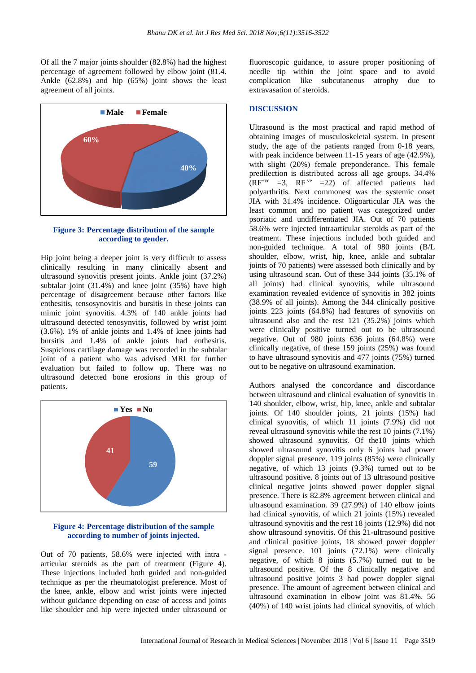Of all the 7 major joints shoulder (82.8%) had the highest percentage of agreement followed by elbow joint (81.4. Ankle (62.8%) and hip (65%) joint shows the least agreement of all joints.



**Figure 3: Percentage distribution of the sample according to gender.**

Hip joint being a deeper joint is very difficult to assess clinically resulting in many clinically absent and ultrasound synovitis present joints. Ankle joint (37.2%) subtalar joint (31.4%) and knee joint (35%) have high percentage of disagreement because other factors like enthesitis, tensosynovitis and bursitis in these joints can mimic joint synovitis. 4.3% of 140 ankle joints had ultrasound detected tenosynvitis, followed by wrist joint (3.6%). 1% of ankle joints and 1.4% of knee joints had bursitis and 1.4% of ankle joints had enthesitis. Suspicious cartilage damage was recorded in the subtalar joint of a patient who was advised MRI for further evaluation but failed to follow up. There was no ultrasound detected bone erosions in this group of patients.



#### **Figure 4: Percentage distribution of the sample according to number of joints injected.**

Out of 70 patients, 58.6% were injected with intra articular steroids as the part of treatment (Figure 4). These injections included both guided and non-guided technique as per the rheumatologist preference. Most of the knee, ankle, elbow and wrist joints were injected without guidance depending on ease of access and joints like shoulder and hip were injected under ultrasound or fluoroscopic guidance, to assure proper positioning of needle tip within the joint space and to avoid complication like subcutaneous atrophy due to extravasation of steroids.

#### **DISCUSSION**

Ultrasound is the most practical and rapid method of obtaining images of musculoskeletal system. In present study, the age of the patients ranged from 0-18 years, with peak incidence between 11-15 years of age  $(42.9\%)$ , with slight (20%) female preponderance. This female predilection is distributed across all age groups. 34.4%  $(RF<sup>+ve</sup> = 3$ ,  $RF<sup>-ve</sup> = 22$  of affected patients had polyarthritis. Next commonest was the systemic onset JIA with 31.4% incidence. Oligoarticular JIA was the least common and no patient was categorized under psoriatic and undifferentiated JIA. Out of 70 patients 58.6% were injected intraarticular steroids as part of the treatment. These injections included both guided and non-guided technique. A total of 980 joints (B/L shoulder, elbow, wrist, hip, knee, ankle and subtalar joints of 70 patients) were assessed both clinically and by using ultrasound scan. Out of these 344 joints (35.1% of all joints) had clinical synovitis, while ultrasound examination revealed evidence of synovitis in 382 joints (38.9% of all joints). Among the 344 clinically positive joints 223 joints (64.8%) had features of synovitis on ultrasound also and the rest  $121$   $(35.2%)$  joints which were clinically positive turned out to be ultrasound negative. Out of 980 joints 636 joints (64.8%) were clinically negative, of these 159 joints (25%) was found to have ultrasound synovitis and 477 joints (75%) turned out to be negative on ultrasound examination.

Authors analysed the concordance and discordance between ultrasound and clinical evaluation of synovitis in 140 shoulder, elbow, wrist, hip, knee, ankle and subtalar joints. Of 140 shoulder joints, 21 joints (15%) had clinical synovitis, of which 11 joints (7.9%) did not reveal ultrasound synovitis while the rest 10 joints (7.1%) showed ultrasound synovitis. Of the10 joints which showed ultrasound synovitis only 6 joints had power doppler signal presence. 119 joints (85%) were clinically negative, of which 13 joints (9.3%) turned out to be ultrasound positive. 8 joints out of 13 ultrasound positive clinical negative joints showed power doppler signal presence. There is 82.8% agreement between clinical and ultrasound examination. 39 (27.9%) of 140 elbow joints had clinical synovitis, of which 21 joints (15%) revealed ultrasound synovitis and the rest 18 joints (12.9%) did not show ultrasound synovitis. Of this 21-ultrasound positive and clinical positive joints, 18 showed power doppler signal presence. 101 joints (72.1%) were clinically negative, of which 8 joints (5.7%) turned out to be ultrasound positive. Of the 8 clinically negative and ultrasound positive joints 3 had power doppler signal presence. The amount of agreement between clinical and ultrasound examination in elbow joint was 81.4%. 56 (40%) of 140 wrist joints had clinical synovitis, of which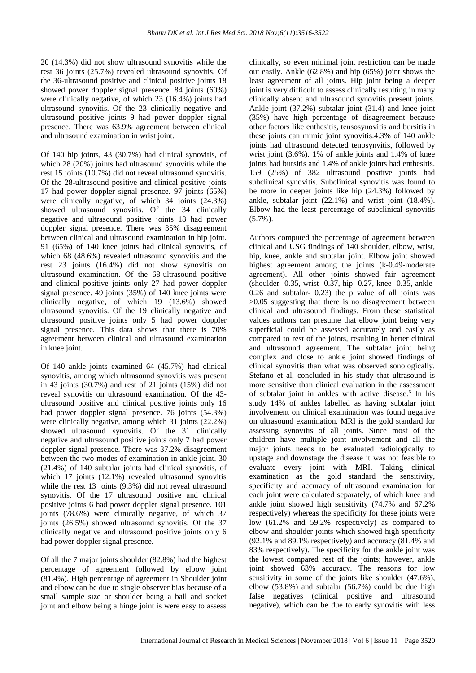20 (14.3%) did not show ultrasound synovitis while the rest 36 joints (25.7%) revealed ultrasound synovitis. Of the 36-ultrasound positive and clinical positive joints 18 showed power doppler signal presence. 84 joints (60%) were clinically negative, of which 23 (16.4%) joints had ultrasound synovitis. Of the 23 clinically negative and ultrasound positive joints 9 had power doppler signal presence. There was 63.9% agreement between clinical and ultrasound examination in wrist joint.

Of 140 hip joints, 43 (30.7%) had clinical synovitis, of which 28 (20%) joints had ultrasound synovitis while the rest 15 joints (10.7%) did not reveal ultrasound synovitis. Of the 28-ultrasound positive and clinical positive joints 17 had power doppler signal presence. 97 joints (65%) were clinically negative, of which 34 joints (24.3%) showed ultrasound synovitis. Of the 34 clinically negative and ultrasound positive joints 18 had power doppler signal presence. There was 35% disagreement between clinical and ultrasound examination in hip joint. 91 (65%) of 140 knee joints had clinical synovitis, of which 68 (48.6%) revealed ultrasound synovitis and the rest 23 joints (16.4%) did not show synovitis on ultrasound examination. Of the 68-ultrasound positive and clinical positive joints only 27 had power doppler signal presence. 49 joints (35%) of 140 knee joints were clinically negative, of which 19 (13.6%) showed ultrasound synovitis. Of the 19 clinically negative and ultrasound positive joints only 5 had power doppler signal presence. This data shows that there is 70% agreement between clinical and ultrasound examination in knee joint.

Of 140 ankle joints examined 64 (45.7%) had clinical synovitis, among which ultrasound synovitis was present in 43 joints (30.7%) and rest of 21 joints (15%) did not reveal synovitis on ultrasound examination. Of the 43 ultrasound positive and clinical positive joints only 16 had power doppler signal presence. 76 joints (54.3%) were clinically negative, among which 31 joints (22.2%) showed ultrasound synovitis. Of the 31 clinically negative and ultrasound positive joints only 7 had power doppler signal presence. There was 37.2% disagreement between the two modes of examination in ankle joint. 30 (21.4%) of 140 subtalar joints had clinical synovitis, of which 17 joints (12.1%) revealed ultrasound synovitis while the rest 13 joints (9.3%) did not reveal ultrasound synovitis. Of the 17 ultrasound positive and clinical positive joints 6 had power doppler signal presence. 101 joints (78.6%) were clinically negative, of which 37 joints (26.5%) showed ultrasound synovitis. Of the 37 clinically negative and ultrasound positive joints only 6 had power doppler signal presence.

Of all the 7 major joints shoulder (82.8%) had the highest percentage of agreement followed by elbow joint (81.4%). High percentage of agreement in Shoulder joint and elbow can be due to single observer bias because of a small sample size or shoulder being a ball and socket joint and elbow being a hinge joint is were easy to assess clinically, so even minimal joint restriction can be made out easily. Ankle (62.8%) and hip (65%) joint shows the least agreement of all joints. Hip joint being a deeper joint is very difficult to assess clinically resulting in many clinically absent and ultrasound synovitis present joints. Ankle joint (37.2%) subtalar joint (31.4) and knee joint (35%) have high percentage of disagreement because other factors like enthesitis, tensosynovitis and bursitis in these joints can mimic joint synovitis.4.3% of 140 ankle joints had ultrasound detected tenosynvitis, followed by wrist joint (3.6%). 1% of ankle joints and 1.4% of knee joints had bursitis and 1.4% of ankle joints had enthesitis. 159 (25%) of 382 ultrasound positive joints had subclinical synovitis. Subclinical synovitis was found to be more in deeper joints like hip (24.3%) followed by ankle, subtalar joint (22.1%) and wrist joint (18.4%). Elbow had the least percentage of subclinical synovitis  $(5.7\%)$ .

Authors computed the percentage of agreement between clinical and USG findings of 140 shoulder, elbow, wrist, hip, knee, ankle and subtalar joint. Elbow joint showed highest agreement among the joints (k-0.49-moderate agreement). All other joints showed fair agreement (shoulder- 0.35, wrist- 0.37, hip- 0.27, knee- 0.35, ankle- $0.26$  and subtalar- 0.23) the p value of all joints was >0.05 suggesting that there is no disagreement between clinical and ultrasound findings. From these statistical values authors can presume that elbow joint being very superficial could be assessed accurately and easily as compared to rest of the joints, resulting in better clinical and ultrasound agreement. The subtalar joint being complex and close to ankle joint showed findings of clinical synovitis than what was observed sonologically. Stefano et al, concluded in his study that ultrasound is more sensitive than clinical evaluation in the assessment of subtalar joint in ankles with active disease.<sup>6</sup> In his study 14% of ankles labelled as having subtalar joint involvement on clinical examination was found negative on ultrasound examination. MRI is the gold standard for assessing synovitis of all joints. Since most of the children have multiple joint involvement and all the major joints needs to be evaluated radiologically to upstage and downstage the disease it was not feasible to evaluate every joint with MRI. Taking clinical examination as the gold standard the sensitivity, specificity and accuracy of ultrasound examination for each joint were calculated separately, of which knee and ankle joint showed high sensitivity (74.7% and 67.2% respectively) whereas the specificity for these joints were low (61.2% and 59.2% respectively) as compared to elbow and shoulder joints which showed high specificity (92.1% and 89.1% respectively) and accuracy (81.4% and 83% respectively). The specificity for the ankle joint was the lowest compared rest of the joints; however, ankle joint showed 63% accuracy. The reasons for low sensitivity in some of the joints like shoulder (47.6%), elbow (53.8%) and subtalar (56.7%) could be due high false negatives (clinical positive and ultrasound negative), which can be due to early synovitis with less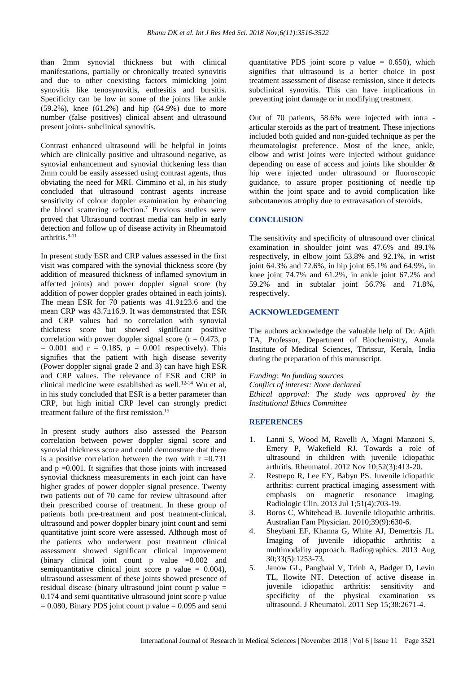than 2mm synovial thickness but with clinical manifestations, partially or chronically treated synovitis and due to other coexisting factors mimicking joint synovitis like tenosynovitis, enthesitis and bursitis. Specificity can be low in some of the joints like ankle (59.2%), knee (61.2%) and hip (64.9%) due to more number (false positives) clinical absent and ultrasound present joints- subclinical synovitis.

Contrast enhanced ultrasound will be helpful in joints which are clinically positive and ultrasound negative, as synovial enhancement and synovial thickening less than 2mm could be easily assessed using contrast agents, thus obviating the need for MRI. Cimmino et al, in his study concluded that ultrasound contrast agents increase sensitivity of colour doppler examination by enhancing the blood scattering reflection.<sup>7</sup> Previous studies were proved that Ultrasound contrast media can help in early detection and follow up of disease activity in Rheumatoid arthritis.8-11

In present study ESR and CRP values assessed in the first visit was compared with the synovial thickness score (by addition of measured thickness of inflamed synovium in affected joints) and power doppler signal score (by addition of power doppler grades obtained in each joints). The mean ESR for 70 patients was 41.9±23.6 and the mean CRP was 43.7±16.9. It was demonstrated that ESR and CRP values had no correlation with synovial thickness score but showed significant positive correlation with power doppler signal score ( $r = 0.473$ , p  $= 0.001$  and  $r = 0.185$ ,  $p = 0.001$  respectively). This signifies that the patient with high disease severity (Power doppler signal grade 2 and 3) can have high ESR and CRP values. The relevance of ESR and CRP in clinical medicine were established as well.12-14 Wu et al, in his study concluded that ESR is a better parameter than CRP, but high initial CRP level can strongly predict treatment failure of the first remission.<sup>15</sup>

In present study authors also assessed the Pearson correlation between power doppler signal score and synovial thickness score and could demonstrate that there is a positive correlation between the two with  $r = 0.731$ and  $p = 0.001$ . It signifies that those joints with increased synovial thickness measurements in each joint can have higher grades of power doppler signal presence. Twenty two patients out of 70 came for review ultrasound after their prescribed course of treatment. In these group of patients both pre-treatment and post treatment-clinical, ultrasound and power doppler binary joint count and semi quantitative joint score were assessed. Although most of the patients who underwent post treatment clinical assessment showed significant clinical improvement (binary clinical joint count p value =0.002 and semiquantitative clinical joint score  $p$  value = 0.004), ultrasound assessment of these joints showed presence of residual disease (binary ultrasound joint count p value = 0.174 and semi quantitative ultrasound joint score p value  $= 0.080$ , Binary PDS joint count p value  $= 0.095$  and semi quantitative PDS joint score  $p$  value = 0.650), which signifies that ultrasound is a better choice in post treatment assessment of disease remission, since it detects subclinical synovitis. This can have implications in preventing joint damage or in modifying treatment.

Out of 70 patients, 58.6% were injected with intra articular steroids as the part of treatment. These injections included both guided and non-guided technique as per the rheumatologist preference. Most of the knee, ankle, elbow and wrist joints were injected without guidance depending on ease of access and joints like shoulder & hip were injected under ultrasound or fluoroscopic guidance, to assure proper positioning of needle tip within the joint space and to avoid complication like subcutaneous atrophy due to extravasation of steroids.

# **CONCLUSION**

The sensitivity and specificity of ultrasound over clinical examination in shoulder joint was 47.6% and 89.1% respectively, in elbow joint 53.8% and 92.1%, in wrist joint 64.3% and 72.6%, in hip joint 65.1% and 64.9%, in knee joint 74.7% and 61.2%, in ankle joint 67.2% and 59.2% and in subtalar joint 56.7% and 71.8%, respectively.

#### **ACKNOWLEDGEMENT**

The authors acknowledge the valuable help of Dr. Ajith TA, Professor, Department of Biochemistry, Amala Institute of Medical Sciences, Thrissur, Kerala, India during the preparation of this manuscript.

*Funding: No funding sources Conflict of interest: None declared Ethical approval: The study was approved by the Institutional Ethics Committee*

### **REFERENCES**

- 1. Lanni S, Wood M, Ravelli A, Magni Manzoni S, Emery P, Wakefield RJ. Towards a role of ultrasound in children with juvenile idiopathic arthritis. Rheumatol. 2012 Nov 10;52(3):413-20.
- 2. Restrepo R, Lee EY, Babyn PS. Juvenile idiopathic arthritis: current practical imaging assessment with emphasis on magnetic resonance imaging. Radiologic Clin. 2013 Jul 1;51(4):703-19.
- 3. Boros C, Whitehead B. Juvenile idiopathic arthritis. Australian Fam Physician. 2010;39(9):630-6.
- 4. Sheybani EF, Khanna G, White AJ, Demertzis JL. Imaging of juvenile idiopathic arthritis: a multimodality approach. Radiographics. 2013 Aug 30;33(5):1253-73.
- 5. Janow GL, Panghaal V, Trinh A, Badger D, Levin TL, Ilowite NT. Detection of active disease in juvenile idiopathic arthritis: sensitivity and specificity of the physical examination vs ultrasound. J Rheumatol. 2011 Sep 15;38:2671-4.